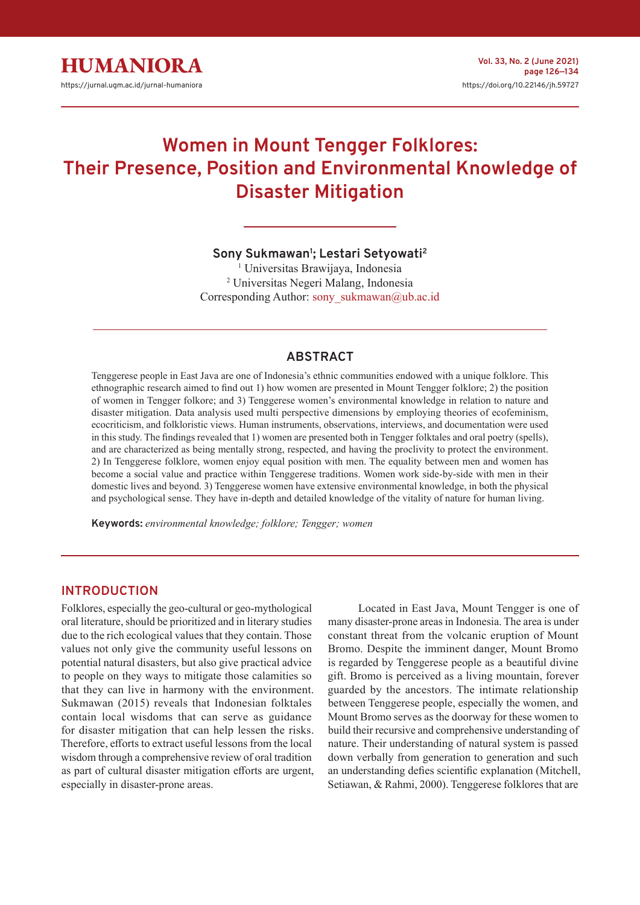# **Women in Mount Tengger Folklores: Their Presence, Position and Environmental Knowledge of Disaster Mitigation**

## **Sony Sukmawan<sup>1</sup> ; Lestari Setyowati<sup>2</sup>**

1 Universitas Brawijaya, Indonesia 2 Universitas Negeri Malang, Indonesia Corresponding Author: sony\_sukmawan@ub.ac.id

## **ABSTRACT**

Tenggerese people in East Java are one of Indonesia's ethnic communities endowed with a unique folklore. This ethnographic research aimed to find out 1) how women are presented in Mount Tengger folklore; 2) the position of women in Tengger folkore; and 3) Tenggerese women's environmental knowledge in relation to nature and disaster mitigation. Data analysis used multi perspective dimensions by employing theories of ecofeminism, ecocriticism, and folkloristic views. Human instruments, observations, interviews, and documentation were used in this study. The findings revealed that 1) women are presented both in Tengger folktales and oral poetry (spells), and are characterized as being mentally strong, respected, and having the proclivity to protect the environment. 2) In Tenggerese folklore, women enjoy equal position with men. The equality between men and women has become a social value and practice within Tenggerese traditions. Women work side-by-side with men in their domestic lives and beyond. 3) Tenggerese women have extensive environmental knowledge, in both the physical and psychological sense. They have in-depth and detailed knowledge of the vitality of nature for human living.

**Keywords:** *environmental knowledge; folklore; Tengger; women*

#### **INTRODUCTION**

Folklores, especially the geo-cultural or geo-mythological oral literature, should be prioritized and in literary studies due to the rich ecological values that they contain. Those values not only give the community useful lessons on potential natural disasters, but also give practical advice to people on they ways to mitigate those calamities so that they can live in harmony with the environment. Sukmawan (2015) reveals that Indonesian folktales contain local wisdoms that can serve as guidance for disaster mitigation that can help lessen the risks. Therefore, efforts to extract useful lessons from the local wisdom through a comprehensive review of oral tradition as part of cultural disaster mitigation efforts are urgent, especially in disaster-prone areas.

Located in East Java, Mount Tengger is one of many disaster-prone areas in Indonesia. The area is under constant threat from the volcanic eruption of Mount Bromo. Despite the imminent danger, Mount Bromo is regarded by Tenggerese people as a beautiful divine gift. Bromo is perceived as a living mountain, forever guarded by the ancestors. The intimate relationship between Tenggerese people, especially the women, and Mount Bromo serves as the doorway for these women to build their recursive and comprehensive understanding of nature. Their understanding of natural system is passed down verbally from generation to generation and such an understanding defies scientific explanation (Mitchell, Setiawan, & Rahmi, 2000). Tenggerese folklores that are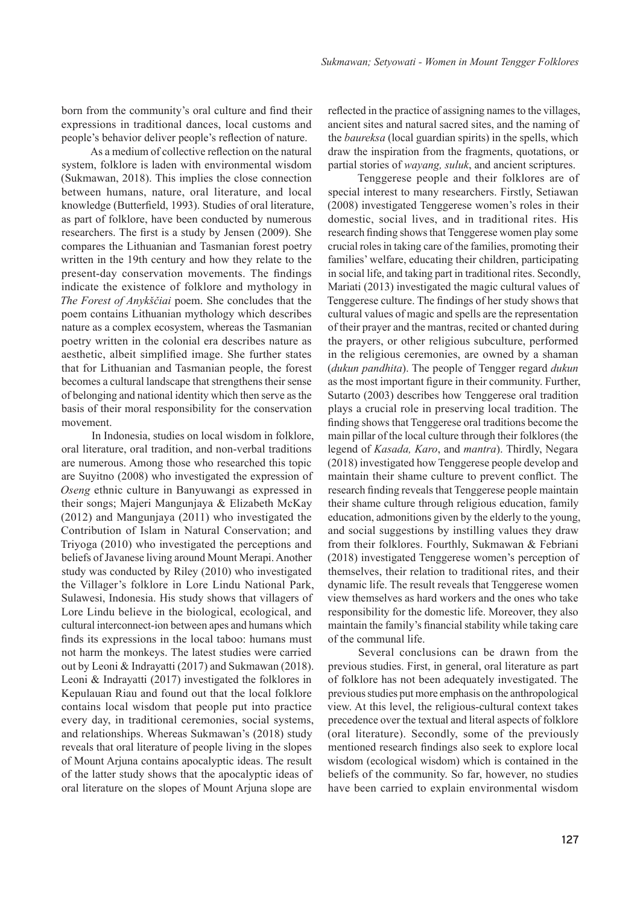born from the community's oral culture and find their expressions in traditional dances, local customs and people's behavior deliver people's reflection of nature.

As a medium of collective reflection on the natural system, folklore is laden with environmental wisdom (Sukmawan, 2018). This implies the close connection between humans, nature, oral literature, and local knowledge (Butterfield, 1993). Studies of oral literature, as part of folklore, have been conducted by numerous researchers. The first is a study by Jensen (2009). She compares the Lithuanian and Tasmanian forest poetry written in the 19th century and how they relate to the present-day conservation movements. The findings indicate the existence of folklore and mythology in *The Forest of Anykščiai* poem. She concludes that the poem contains Lithuanian mythology which describes nature as a complex ecosystem, whereas the Tasmanian poetry written in the colonial era describes nature as aesthetic, albeit simplified image. She further states that for Lithuanian and Tasmanian people, the forest becomes a cultural landscape that strengthens their sense of belonging and national identity which then serve as the basis of their moral responsibility for the conservation movement.

In Indonesia, studies on local wisdom in folklore, oral literature, oral tradition, and non-verbal traditions are numerous. Among those who researched this topic are Suyitno (2008) who investigated the expression of *Oseng* ethnic culture in Banyuwangi as expressed in their songs; Majeri Mangunjaya & Elizabeth McKay (2012) and Mangunjaya (2011) who investigated the Contribution of Islam in Natural Conservation; and Triyoga (2010) who investigated the perceptions and beliefs of Javanese living around Mount Merapi. Another study was conducted by Riley (2010) who investigated the Villager's folklore in Lore Lindu National Park, Sulawesi, Indonesia. His study shows that villagers of Lore Lindu believe in the biological, ecological, and cultural interconnect-ion between apes and humans which finds its expressions in the local taboo: humans must not harm the monkeys. The latest studies were carried out by Leoni & Indrayatti (2017) and Sukmawan (2018). Leoni & Indrayatti (2017) investigated the folklores in Kepulauan Riau and found out that the local folklore contains local wisdom that people put into practice every day, in traditional ceremonies, social systems, and relationships. Whereas Sukmawan's (2018) study reveals that oral literature of people living in the slopes of Mount Arjuna contains apocalyptic ideas. The result of the latter study shows that the apocalyptic ideas of oral literature on the slopes of Mount Arjuna slope are

reflected in the practice of assigning names to the villages, ancient sites and natural sacred sites, and the naming of the *baureksa* (local guardian spirits) in the spells, which draw the inspiration from the fragments, quotations, or partial stories of *wayang, suluk*, and ancient scriptures.

Tenggerese people and their folklores are of special interest to many researchers. Firstly, Setiawan (2008) investigated Tenggerese women's roles in their domestic, social lives, and in traditional rites. His research finding shows that Tenggerese women play some crucial roles in taking care of the families, promoting their families' welfare, educating their children, participating in social life, and taking part in traditional rites. Secondly, Mariati (2013) investigated the magic cultural values of Tenggerese culture. The findings of her study shows that cultural values of magic and spells are the representation of their prayer and the mantras, recited or chanted during the prayers, or other religious subculture, performed in the religious ceremonies, are owned by a shaman (*dukun pandhita*). The people of Tengger regard *dukun*  as the most important figure in their community. Further, Sutarto (2003) describes how Tenggerese oral tradition plays a crucial role in preserving local tradition. The finding shows that Tenggerese oral traditions become the main pillar of the local culture through their folklores (the legend of *Kasada, Karo*, and *mantra*). Thirdly, Negara (2018) investigated how Tenggerese people develop and maintain their shame culture to prevent conflict. The research finding reveals that Tenggerese people maintain their shame culture through religious education, family education, admonitions given by the elderly to the young, and social suggestions by instilling values they draw from their folklores. Fourthly, Sukmawan & Febriani (2018) investigated Tenggerese women's perception of themselves, their relation to traditional rites, and their dynamic life. The result reveals that Tenggerese women view themselves as hard workers and the ones who take responsibility for the domestic life. Moreover, they also maintain the family's financial stability while taking care of the communal life.

Several conclusions can be drawn from the previous studies. First, in general, oral literature as part of folklore has not been adequately investigated. The previous studies put more emphasis on the anthropological view. At this level, the religious-cultural context takes precedence over the textual and literal aspects of folklore (oral literature). Secondly, some of the previously mentioned research findings also seek to explore local wisdom (ecological wisdom) which is contained in the beliefs of the community. So far, however, no studies have been carried to explain environmental wisdom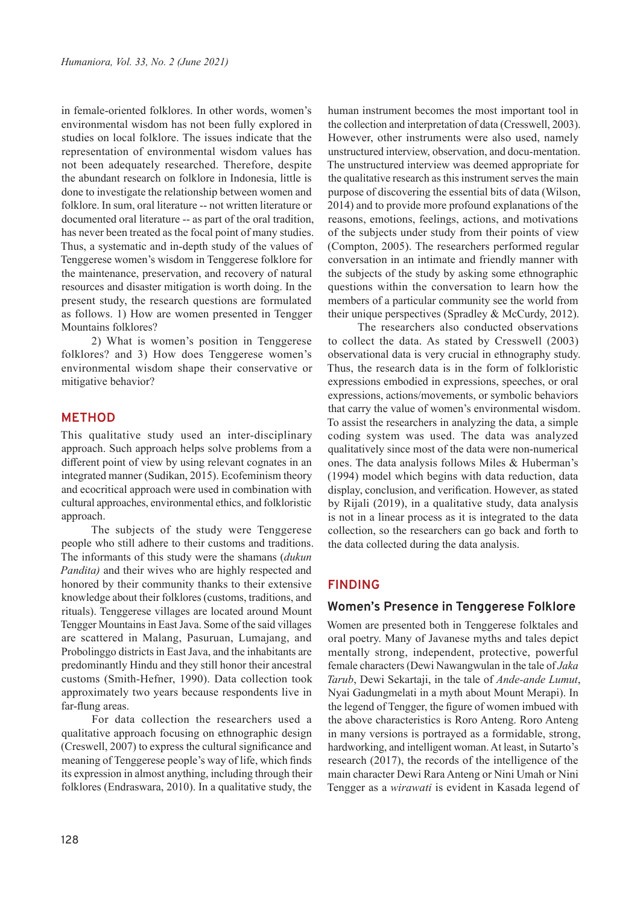in female-oriented folklores. In other words, women's environmental wisdom has not been fully explored in studies on local folklore. The issues indicate that the representation of environmental wisdom values has not been adequately researched. Therefore, despite the abundant research on folklore in Indonesia, little is done to investigate the relationship between women and folklore. In sum, oral literature -- not written literature or documented oral literature -- as part of the oral tradition, has never been treated as the focal point of many studies. Thus, a systematic and in-depth study of the values of Tenggerese women's wisdom in Tenggerese folklore for the maintenance, preservation, and recovery of natural resources and disaster mitigation is worth doing. In the present study, the research questions are formulated as follows. 1) How are women presented in Tengger Mountains folklores?

2) What is women's position in Tenggerese folklores? and 3) How does Tenggerese women's environmental wisdom shape their conservative or mitigative behavior?

## **METHOD**

This qualitative study used an inter-disciplinary approach. Such approach helps solve problems from a different point of view by using relevant cognates in an integrated manner (Sudikan, 2015). Ecofeminism theory and ecocritical approach were used in combination with cultural approaches, environmental ethics, and folkloristic approach.

The subjects of the study were Tenggerese people who still adhere to their customs and traditions. The informants of this study were the shamans (*dukun Pandita)* and their wives who are highly respected and honored by their community thanks to their extensive knowledge about their folklores (customs, traditions, and rituals). Tenggerese villages are located around Mount Tengger Mountains in East Java. Some of the said villages are scattered in Malang, Pasuruan, Lumajang, and Probolinggo districts in East Java, and the inhabitants are predominantly Hindu and they still honor their ancestral customs (Smith-Hefner, 1990). Data collection took approximately two years because respondents live in far-flung areas.

For data collection the researchers used a qualitative approach focusing on ethnographic design (Creswell, 2007) to express the cultural significance and meaning of Tenggerese people's way of life, which finds its expression in almost anything, including through their folklores (Endraswara, 2010). In a qualitative study, the human instrument becomes the most important tool in the collection and interpretation of data (Cresswell, 2003). However, other instruments were also used, namely unstructured interview, observation, and docu-mentation. The unstructured interview was deemed appropriate for the qualitative research as this instrument serves the main purpose of discovering the essential bits of data (Wilson, 2014) and to provide more profound explanations of the reasons, emotions, feelings, actions, and motivations of the subjects under study from their points of view (Compton, 2005). The researchers performed regular conversation in an intimate and friendly manner with the subjects of the study by asking some ethnographic questions within the conversation to learn how the members of a particular community see the world from their unique perspectives (Spradley & McCurdy, 2012).

The researchers also conducted observations to collect the data. As stated by Cresswell (2003) observational data is very crucial in ethnography study. Thus, the research data is in the form of folkloristic expressions embodied in expressions, speeches, or oral expressions, actions/movements, or symbolic behaviors that carry the value of women's environmental wisdom. To assist the researchers in analyzing the data, a simple coding system was used. The data was analyzed qualitatively since most of the data were non-numerical ones. The data analysis follows Miles & Huberman's (1994) model which begins with data reduction, data display, conclusion, and verification. However, as stated by Rijali (2019), in a qualitative study, data analysis is not in a linear process as it is integrated to the data collection, so the researchers can go back and forth to the data collected during the data analysis.

## **FINDING**

#### **Women's Presence in Tenggerese Folklore**

Women are presented both in Tenggerese folktales and oral poetry. Many of Javanese myths and tales depict mentally strong, independent, protective, powerful female characters (Dewi Nawangwulan in the tale of *Jaka Tarub*, Dewi Sekartaji, in the tale of *Ande-ande Lumut*, Nyai Gadungmelati in a myth about Mount Merapi). In the legend of Tengger, the figure of women imbued with the above characteristics is Roro Anteng. Roro Anteng in many versions is portrayed as a formidable, strong, hardworking, and intelligent woman. At least, in Sutarto's research (2017), the records of the intelligence of the main character Dewi Rara Anteng or Nini Umah or Nini Tengger as a *wirawati* is evident in Kasada legend of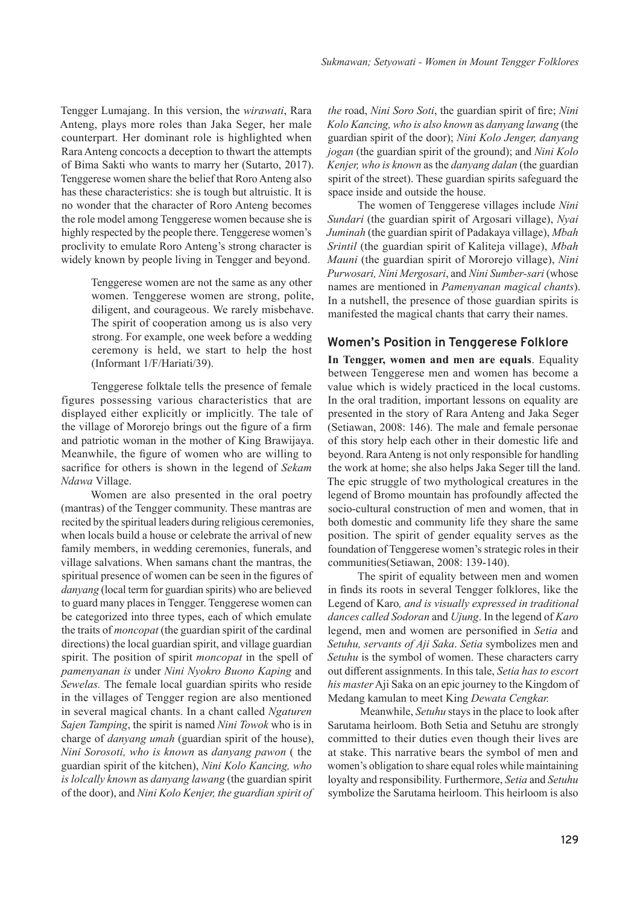Tengger Lumajang. In this version, the *wirawati*, Rara Anteng, plays more roles than Jaka Seger, her male counterpart. Her dominant role is highlighted when Rara Anteng concocts a deception to thwart the attempts of Bima Sakti who wants to marry her (Sutarto, 2017). Tenggerese women share the belief that Roro Anteng also has these characteristics: she is tough but altruistic. It is no wonder that the character of Roro Anteng becomes the role model among Tenggerese women because she is highly respected by the people there. Tenggerese women's proclivity to emulate Roro Anteng's strong character is widely known by people living in Tengger and beyond.

> Tenggerese women are not the same as any other women. Tenggerese women are strong, polite, diligent, and courageous. We rarely misbehave. The spirit of cooperation among us is also very strong. For example, one week before a wedding ceremony is held, we start to help the host (Informant 1/F/Hariati/39).

Tenggerese folktale tells the presence of female figures possessing various characteristics that are displayed either explicitly or implicitly. The tale of the village of Mororejo brings out the figure of a firm and patriotic woman in the mother of King Brawijaya. Meanwhile, the figure of women who are willing to sacrifice for others is shown in the legend of *Sekam Ndawa* Village.

Women are also presented in the oral poetry (mantras) of the Tengger community. These mantras are recited by the spiritual leaders during religious ceremonies, when locals build a house or celebrate the arrival of new family members, in wedding ceremonies, funerals, and village salvations. When samans chant the mantras, the spiritual presence of women can be seen in the figures of *danyang* (local term for guardian spirits) who are believed to guard many places in Tengger. Tenggerese women can be categorized into three types, each of which emulate the traits of *moncopat* (the guardian spirit of the cardinal directions) the local guardian spirit, and village guardian spirit. The position of spirit *moncopat* in the spell of *pamenyanan is* under *Nini Nyokro Buono Kaping* and *Sewelas.* The female local guardian spirits who reside in the villages of Tengger region are also mentioned in several magical chants. In a chant called *Ngaturen Sajen Tamping*, the spirit is named *Nini Towok* who is in charge of *danyang umah* (guardian spirit of the house), *Nini Sorosoti, who is known* as *danyang pawon* ( the guardian spirit of the kitchen), *Nini Kolo Kancing, who is lolcally known* as *danyang lawang* (the guardian spirit of the door), and *Nini Kolo Kenjer, the guardian spirit of* 

*the* road, *Nini Soro Soti*, the guardian spirit of fire; *Nini Kolo Kancing, who is also known* as *danyang lawang* (the guardian spirit of the door); *Nini Kolo Jenger, danyang jogan* (the guardian spirit of the ground); and *Nini Kolo Kenjer, who is known* as the *danyang dalan* (the guardian spirit of the street). These guardian spirits safeguard the space inside and outside the house.

The women of Tenggerese villages include *Nini Sundari* (the guardian spirit of Argosari village), *Nyai Juminah* (the guardian spirit of Padakaya village), *Mbah Srintil* (the guardian spirit of Kaliteja village), *Mbah Mauni* (the guardian spirit of Mororejo village), *Nini Purwosari, Nini Mergosari*, and *Nini Sumber-sari* (whose names are mentioned in *Pamenyanan magical chants*). In a nutshell, the presence of those guardian spirits is manifested the magical chants that carry their names.

#### **Women's Position in Tenggerese Folklore**

**In Tengger, women and men are equals**. Equality between Tenggerese men and women has become a value which is widely practiced in the local customs. In the oral tradition, important lessons on equality are presented in the story of Rara Anteng and Jaka Seger (Setiawan, 2008: 146). The male and female personae of this story help each other in their domestic life and beyond. Rara Anteng is not only responsible for handling the work at home; she also helps Jaka Seger till the land. The epic struggle of two mythological creatures in the legend of Bromo mountain has profoundly affected the socio-cultural construction of men and women, that in both domestic and community life they share the same position. The spirit of gender equality serves as the foundation of Tenggerese women's strategic roles in their communities(Setiawan, 2008: 139-140).

The spirit of equality between men and women in finds its roots in several Tengger folklores, like the Legend of Karo*, and is visually expressed in traditional dances called Sodoran* and *Ujung*. In the legend of *Karo* legend, men and women are personified in *Setia* and *Setuhu, servants of Aji Saka*. *Setia* symbolizes men and *Setuhu* is the symbol of women. These characters carry out different assignments. In this tale, *Setia has to escort his master* Aji Saka on an epic journey to the Kingdom of Medang kamulan to meet King *Dewata Cengkar.*

 Meanwhile, *Setuhu* stays in the place to look after Sarutama heirloom. Both Setia and Setuhu are strongly committed to their duties even though their lives are at stake. This narrative bears the symbol of men and women's obligation to share equal roles while maintaining loyalty and responsibility. Furthermore, *Setia* and *Setuhu* symbolize the Sarutama heirloom. This heirloom is also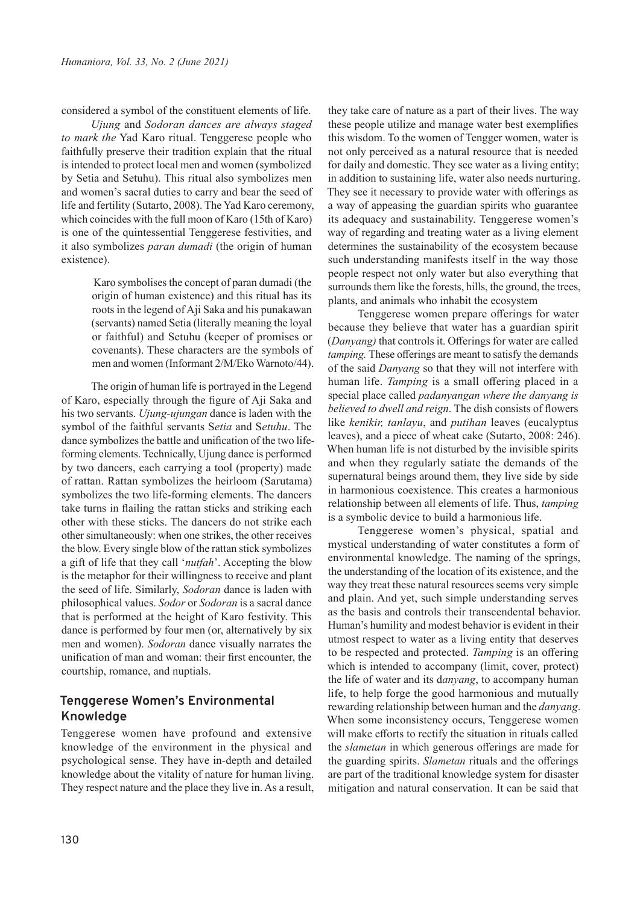considered a symbol of the constituent elements of life.

*Ujung* and *Sodoran dances are always staged to mark the* Yad Karo ritual. Tenggerese people who faithfully preserve their tradition explain that the ritual is intended to protect local men and women (symbolized by Setia and Setuhu). This ritual also symbolizes men and women's sacral duties to carry and bear the seed of life and fertility (Sutarto, 2008). The Yad Karo ceremony, which coincides with the full moon of Karo (15th of Karo) is one of the quintessential Tenggerese festivities, and it also symbolizes *paran dumadi* (the origin of human existence).

> Karo symbolises the concept of paran dumadi (the origin of human existence) and this ritual has its roots in the legend of Aji Saka and his punakawan (servants) named Setia (literally meaning the loyal or faithful) and Setuhu (keeper of promises or covenants). These characters are the symbols of men and women (Informant 2/M/Eko Warnoto/44).

The origin of human life is portrayed in the Legend of Karo, especially through the figure of Aji Saka and his two servants. *Ujung-ujungan* dance is laden with the symbol of the faithful servants S*etia* and S*etuhu*. The dance symbolizes the battle and unification of the two lifeforming elements. Technically, Ujung dance is performed by two dancers, each carrying a tool (property) made of rattan. Rattan symbolizes the heirloom (Sarutama) symbolizes the two life-forming elements. The dancers take turns in flailing the rattan sticks and striking each other with these sticks. The dancers do not strike each other simultaneously: when one strikes, the other receives the blow. Every single blow of the rattan stick symbolizes a gift of life that they call '*nutfah*'. Accepting the blow is the metaphor for their willingness to receive and plant the seed of life. Similarly, *Sodoran* dance is laden with philosophical values. *Sodor* or *Sodoran* is a sacral dance that is performed at the height of Karo festivity. This dance is performed by four men (or, alternatively by six men and women). *Sodoran* dance visually narrates the unification of man and woman: their first encounter, the courtship, romance, and nuptials.

#### **Tenggerese Women's Environmental Knowledge**

Tenggerese women have profound and extensive knowledge of the environment in the physical and psychological sense. They have in-depth and detailed knowledge about the vitality of nature for human living. They respect nature and the place they live in. As a result, they take care of nature as a part of their lives. The way these people utilize and manage water best exemplifies this wisdom. To the women of Tengger women, water is not only perceived as a natural resource that is needed for daily and domestic. They see water as a living entity; in addition to sustaining life, water also needs nurturing. They see it necessary to provide water with offerings as a way of appeasing the guardian spirits who guarantee its adequacy and sustainability. Tenggerese women's way of regarding and treating water as a living element determines the sustainability of the ecosystem because such understanding manifests itself in the way those people respect not only water but also everything that surrounds them like the forests, hills, the ground, the trees, plants, and animals who inhabit the ecosystem

Tenggerese women prepare offerings for water because they believe that water has a guardian spirit (*Danyang)* that controls it. Offerings for water are called *tamping.* These offerings are meant to satisfy the demands of the said *Danyang* so that they will not interfere with human life. *Tamping* is a small offering placed in a special place called *padanyangan where the danyang is believed to dwell and reign*. The dish consists of flowers like *kenikir, tanlayu*, and *putihan* leaves (eucalyptus leaves), and a piece of wheat cake (Sutarto, 2008: 246). When human life is not disturbed by the invisible spirits and when they regularly satiate the demands of the supernatural beings around them, they live side by side in harmonious coexistence. This creates a harmonious relationship between all elements of life. Thus, *tamping* is a symbolic device to build a harmonious life.

Tenggerese women's physical, spatial and mystical understanding of water constitutes a form of environmental knowledge. The naming of the springs, the understanding of the location of its existence, and the way they treat these natural resources seems very simple and plain. And yet, such simple understanding serves as the basis and controls their transcendental behavior. Human's humility and modest behavior is evident in their utmost respect to water as a living entity that deserves to be respected and protected. *Tamping* is an offering which is intended to accompany (limit, cover, protect) the life of water and its d*anyang*, to accompany human life, to help forge the good harmonious and mutually rewarding relationship between human and the *danyang*. When some inconsistency occurs, Tenggerese women will make efforts to rectify the situation in rituals called the *slametan* in which generous offerings are made for the guarding spirits. *Slametan* rituals and the offerings are part of the traditional knowledge system for disaster mitigation and natural conservation. It can be said that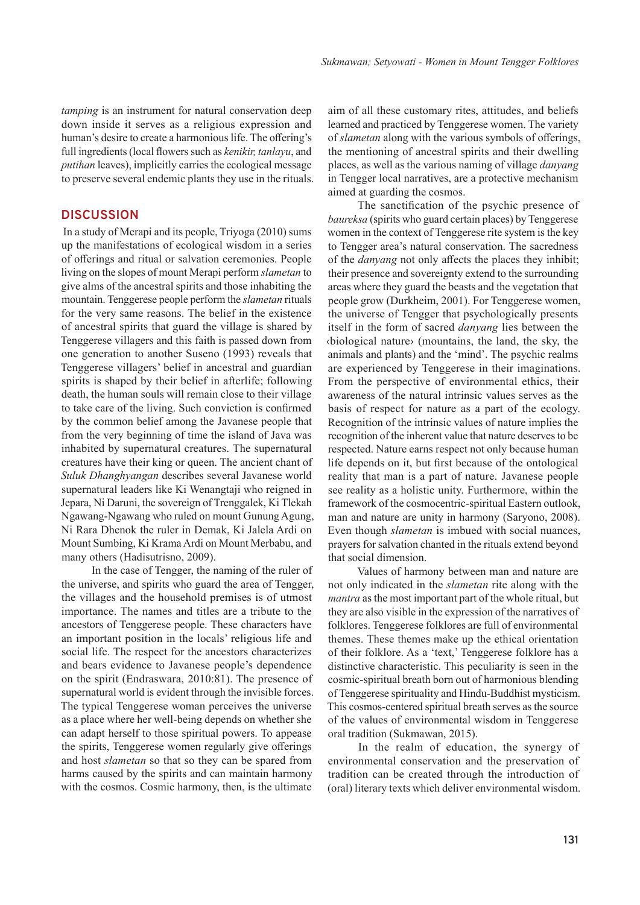*tamping* is an instrument for natural conservation deep down inside it serves as a religious expression and human's desire to create a harmonious life. The offering's full ingredients (local flowers such as *kenikir, tanlayu*, and *putihan* leaves), implicitly carries the ecological message to preserve several endemic plants they use in the rituals.

#### **DISCUSSION**

 In a study of Merapi and its people, Triyoga (2010) sums up the manifestations of ecological wisdom in a series of offerings and ritual or salvation ceremonies. People living on the slopes of mount Merapi perform *slametan* to give alms of the ancestral spirits and those inhabiting the mountain. Tenggerese people perform the *slametan* rituals for the very same reasons. The belief in the existence of ancestral spirits that guard the village is shared by Tenggerese villagers and this faith is passed down from one generation to another Suseno (1993) reveals that Tenggerese villagers' belief in ancestral and guardian spirits is shaped by their belief in afterlife; following death, the human souls will remain close to their village to take care of the living. Such conviction is confirmed by the common belief among the Javanese people that from the very beginning of time the island of Java was inhabited by supernatural creatures. The supernatural creatures have their king or queen. The ancient chant of *Suluk Dhanghyangan* describes several Javanese world supernatural leaders like Ki Wenangtaji who reigned in Jepara, Ni Daruni, the sovereign of Trenggalek, Ki Tlekah Ngawang-Ngawang who ruled on mount Gunung Agung, Ni Rara Dhenok the ruler in Demak, Ki Jalela Ardi on Mount Sumbing, Ki Krama Ardi on Mount Merbabu, and many others (Hadisutrisno, 2009).

In the case of Tengger, the naming of the ruler of the universe, and spirits who guard the area of Tengger, the villages and the household premises is of utmost importance. The names and titles are a tribute to the ancestors of Tenggerese people. These characters have an important position in the locals' religious life and social life. The respect for the ancestors characterizes and bears evidence to Javanese people's dependence on the spirit (Endraswara, 2010:81). The presence of supernatural world is evident through the invisible forces. The typical Tenggerese woman perceives the universe as a place where her well-being depends on whether she can adapt herself to those spiritual powers. To appease the spirits, Tenggerese women regularly give offerings and host *slametan* so that so they can be spared from harms caused by the spirits and can maintain harmony with the cosmos. Cosmic harmony, then, is the ultimate

aim of all these customary rites, attitudes, and beliefs learned and practiced by Tenggerese women. The variety of *slametan* along with the various symbols of offerings, the mentioning of ancestral spirits and their dwelling places, as well as the various naming of village *danyang*  in Tengger local narratives, are a protective mechanism aimed at guarding the cosmos.

The sanctification of the psychic presence of *baureksa* (spirits who guard certain places) by Tenggerese women in the context of Tenggerese rite system is the key to Tengger area's natural conservation. The sacredness of the *danyang* not only affects the places they inhibit; their presence and sovereignty extend to the surrounding areas where they guard the beasts and the vegetation that people grow (Durkheim, 2001). For Tenggerese women, the universe of Tengger that psychologically presents itself in the form of sacred *danyang* lies between the ‹biological nature› (mountains, the land, the sky, the animals and plants) and the 'mind'. The psychic realms are experienced by Tenggerese in their imaginations. From the perspective of environmental ethics, their awareness of the natural intrinsic values serves as the basis of respect for nature as a part of the ecology. Recognition of the intrinsic values of nature implies the recognition of the inherent value that nature deserves to be respected. Nature earns respect not only because human life depends on it, but first because of the ontological reality that man is a part of nature. Javanese people see reality as a holistic unity. Furthermore, within the framework of the cosmocentric-spiritual Eastern outlook, man and nature are unity in harmony (Saryono, 2008). Even though *slametan* is imbued with social nuances, prayers for salvation chanted in the rituals extend beyond that social dimension.

Values of harmony between man and nature are not only indicated in the *slametan* rite along with the *mantra* as the most important part of the whole ritual, but they are also visible in the expression of the narratives of folklores. Tenggerese folklores are full of environmental themes. These themes make up the ethical orientation of their folklore. As a 'text,' Tenggerese folklore has a distinctive characteristic. This peculiarity is seen in the cosmic-spiritual breath born out of harmonious blending of Tenggerese spirituality and Hindu-Buddhist mysticism. This cosmos-centered spiritual breath serves as the source of the values of environmental wisdom in Tenggerese oral tradition (Sukmawan, 2015).

In the realm of education, the synergy of environmental conservation and the preservation of tradition can be created through the introduction of (oral) literary texts which deliver environmental wisdom.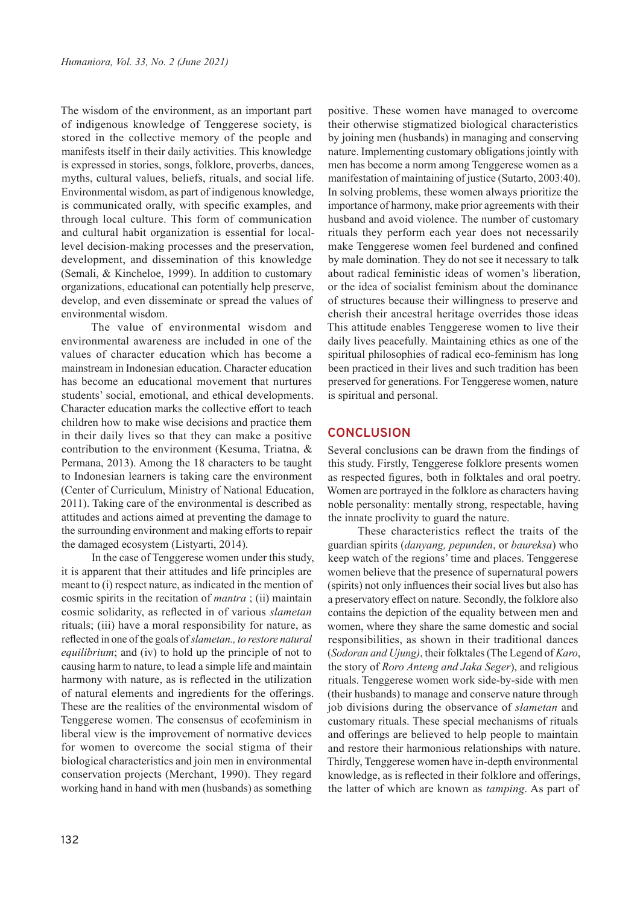The wisdom of the environment, as an important part of indigenous knowledge of Tenggerese society, is stored in the collective memory of the people and manifests itself in their daily activities. This knowledge is expressed in stories, songs, folklore, proverbs, dances, myths, cultural values, beliefs, rituals, and social life. Environmental wisdom, as part of indigenous knowledge, is communicated orally, with specific examples, and through local culture. This form of communication and cultural habit organization is essential for locallevel decision-making processes and the preservation, development, and dissemination of this knowledge (Semali, & Kincheloe, 1999). In addition to customary organizations, educational can potentially help preserve, develop, and even disseminate or spread the values of environmental wisdom.

The value of environmental wisdom and environmental awareness are included in one of the values of character education which has become a mainstream in Indonesian education. Character education has become an educational movement that nurtures students' social, emotional, and ethical developments. Character education marks the collective effort to teach children how to make wise decisions and practice them in their daily lives so that they can make a positive contribution to the environment (Kesuma, Triatna, & Permana, 2013). Among the 18 characters to be taught to Indonesian learners is taking care the environment (Center of Curriculum, Ministry of National Education, 2011). Taking care of the environmental is described as attitudes and actions aimed at preventing the damage to the surrounding environment and making efforts to repair the damaged ecosystem (Listyarti, 2014).

In the case of Tenggerese women under this study, it is apparent that their attitudes and life principles are meant to (i) respect nature, as indicated in the mention of cosmic spirits in the recitation of *mantra* ; (ii) maintain cosmic solidarity, as reflected in of various *slametan* rituals; (iii) have a moral responsibility for nature, as reflected in one of the goals of *slametan., to restore natural equilibrium*; and (iv) to hold up the principle of not to causing harm to nature, to lead a simple life and maintain harmony with nature, as is reflected in the utilization of natural elements and ingredients for the offerings. These are the realities of the environmental wisdom of Tenggerese women. The consensus of ecofeminism in liberal view is the improvement of normative devices for women to overcome the social stigma of their biological characteristics and join men in environmental conservation projects (Merchant, 1990). They regard working hand in hand with men (husbands) as something

positive. These women have managed to overcome their otherwise stigmatized biological characteristics by joining men (husbands) in managing and conserving nature. Implementing customary obligations jointly with men has become a norm among Tenggerese women as a manifestation of maintaining of justice (Sutarto, 2003:40). In solving problems, these women always prioritize the importance of harmony, make prior agreements with their husband and avoid violence. The number of customary rituals they perform each year does not necessarily make Tenggerese women feel burdened and confined by male domination. They do not see it necessary to talk about radical feministic ideas of women's liberation, or the idea of socialist feminism about the dominance of structures because their willingness to preserve and cherish their ancestral heritage overrides those ideas This attitude enables Tenggerese women to live their daily lives peacefully. Maintaining ethics as one of the spiritual philosophies of radical eco-feminism has long been practiced in their lives and such tradition has been preserved for generations. For Tenggerese women, nature is spiritual and personal.

#### **CONCLUSION**

Several conclusions can be drawn from the findings of this study. Firstly, Tenggerese folklore presents women as respected figures, both in folktales and oral poetry. Women are portrayed in the folklore as characters having noble personality: mentally strong, respectable, having the innate proclivity to guard the nature.

These characteristics reflect the traits of the guardian spirits (*danyang, pepunden*, or *baureksa*) who keep watch of the regions' time and places. Tenggerese women believe that the presence of supernatural powers (spirits) not only influences their social lives but also has a preservatory effect on nature. Secondly, the folklore also contains the depiction of the equality between men and women, where they share the same domestic and social responsibilities, as shown in their traditional dances (*Sodoran and Ujung)*, their folktales (The Legend of *Karo*, the story of *Roro Anteng and Jaka Seger*), and religious rituals. Tenggerese women work side-by-side with men (their husbands) to manage and conserve nature through job divisions during the observance of *slametan* and customary rituals. These special mechanisms of rituals and offerings are believed to help people to maintain and restore their harmonious relationships with nature. Thirdly, Tenggerese women have in-depth environmental knowledge, as is reflected in their folklore and offerings, the latter of which are known as *tamping*. As part of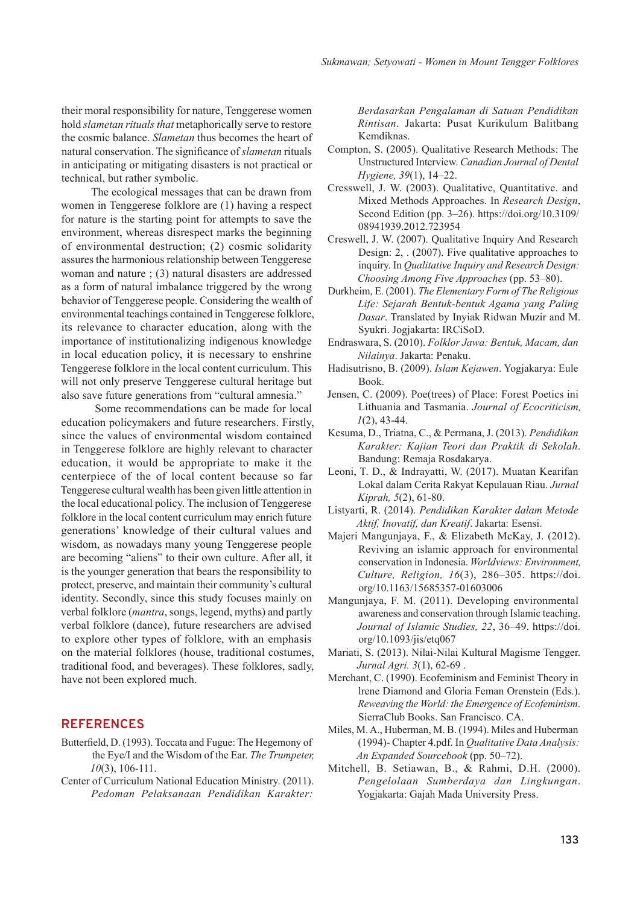their moral responsibility for nature, Tenggerese women hold *slametan rituals that* metaphorically serve to restore the cosmic balance. *Slametan* thus becomes the heart of natural conservation. The significance of *slametan* rituals in anticipating or mitigating disasters is not practical or technical, but rather symbolic.

The ecological messages that can be drawn from women in Tenggerese folklore are (1) having a respect for nature is the starting point for attempts to save the environment, whereas disrespect marks the beginning of environmental destruction; (2) cosmic solidarity assures the harmonious relationship between Tenggerese woman and nature ; (3) natural disasters are addressed as a form of natural imbalance triggered by the wrong behavior of Tenggerese people. Considering the wealth of environmental teachings contained in Tenggerese folklore, its relevance to character education, along with the importance of institutionalizing indigenous knowledge in local education policy, it is necessary to enshrine Tenggerese folklore in the local content curriculum. This will not only preserve Tenggerese cultural heritage but also save future generations from "cultural amnesia."

 Some recommendations can be made for local education policymakers and future researchers. Firstly, since the values of environmental wisdom contained in Tenggerese folklore are highly relevant to character education, it would be appropriate to make it the centerpiece of the of local content because so far Tenggerese cultural wealth has been given little attention in the local educational policy. The inclusion of Tenggerese folklore in the local content curriculum may enrich future generations' knowledge of their cultural values and wisdom, as nowadays many young Tenggerese people are becoming "aliens" to their own culture. After all, it is the younger generation that bears the responsibility to protect, preserve, and maintain their community's cultural identity. Secondly, since this study focuses mainly on verbal folklore (*mantra*, songs, legend, myths) and partly verbal folklore (dance), future researchers are advised to explore other types of folklore, with an emphasis on the material folklores (house, traditional costumes, traditional food, and beverages). These folklores, sadly, have not been explored much.

#### **REFERENCES**

- Butterfield, D. (1993). Toccata and Fugue: The Hegemony of the Eye/I and the Wisdom of the Ear. *The Trumpeter, 10*(3), 106-111.
- Center of Curriculum National Education Ministry. (2011). *Pedoman Pelaksanaan Pendidikan Karakter:*

*Berdasarkan Pengalaman di Satuan Pendidikan Rintisan*. Jakarta: Pusat Kurikulum Balitbang Kemdiknas.

- Compton, S. (2005). Qualitative Research Methods: The Unstructured Interview. *Canadian Journal of Dental Hygiene, 39*(1), 14–22.
- Cresswell, J. W. (2003). Qualitative, Quantitative. and Mixed Methods Approaches. In *Research Design*, Second Edition (pp. 3–26). https://doi.org/10.3109/ 08941939.2012.723954
- Creswell, J. W. (2007). Qualitative Inquiry And Research Design: 2, . (2007). Five qualitative approaches to inquiry. In *Qualitative Inquiry and Research Design: Choosing Among Five Approaches* (pp. 53–80).
- Durkheim, E. (2001). *The Elementary Form of The Religious Life: Sejarah Bentuk-bentuk Agama yang Paling Dasar*. Translated by Inyiak Ridwan Muzir and M. Syukri. Jogjakarta: IRCiSoD.
- Endraswara, S. (2010). *Folklor Jawa: Bentuk, Macam, dan Nilainya*. Jakarta: Penaku.
- Hadisutrisno, B. (2009). *Islam Kejawen*. Yogjakarya: Eule Book.
- Jensen, C. (2009). Poe(trees) of Place: Forest Poetics ini Lithuania and Tasmania. *Journal of Ecocriticism, 1*(2), 43-44.
- Kesuma, D., Triatna, C., & Permana, J. (2013). *Pendidikan Karakter: Kajian Teori dan Praktik di Sekolah*. Bandung: Remaja Rosdakarya.
- Leoni, T. D., & Indrayatti, W. (2017). Muatan Kearifan Lokal dalam Cerita Rakyat Kepulauan Riau. *Jurnal Kiprah, 5*(2), 61-80.
- Listyarti, R. (2014). *Pendidikan Karakter dalam Metode Aktif, Inovatif, dan Kreatif*. Jakarta: Esensi.
- Majeri Mangunjaya, F., & Elizabeth McKay, J. (2012). Reviving an islamic approach for environmental conservation in Indonesia. *Worldviews: Environment, Culture, Religion, 16*(3), 286–305. https://doi. org/10.1163/15685357-01603006
- Mangunjaya, F. M. (2011). Developing environmental awareness and conservation through Islamic teaching. *Journal of Islamic Studies, 22*, 36–49. https://doi. org/10.1093/jis/etq067
- Mariati, S. (2013). Nilai-Nilai Kultural Magisme Tengger. *Jurnal Agri. 3*(1), 62-69 .
- Merchant, C. (1990). Ecofeminism and Feminist Theory in lrene Diamond and Gloria Feman Orenstein (Eds.). *Reweaving the World: the Emergence of Ecofeminism*. SierraClub Books. San Francisco. CA.
- Miles, M. A., Huberman, M. B. (1994). Miles and Huberman (1994)- Chapter 4.pdf. In *Qualitative Data Analysis: An Expanded Sourcebook* (pp. 50–72).
- Mitchell, B. Setiawan, B., & Rahmi, D.H. (2000). *Pengelolaan Sumberdaya dan Lingkungan*. Yogjakarta: Gajah Mada University Press.